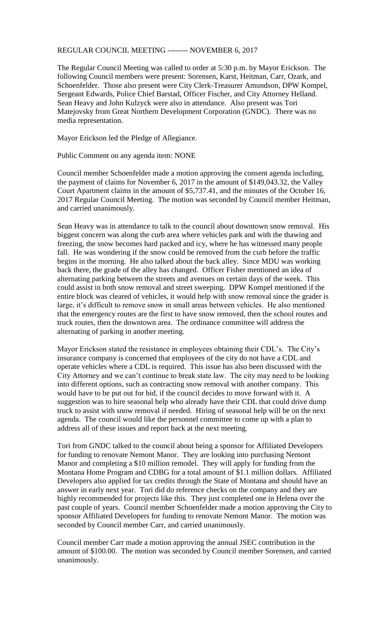## REGULAR COUNCIL MEETING -------- NOVEMBER 6, 2017

The Regular Council Meeting was called to order at 5:30 p.m. by Mayor Erickson. The following Council members were present: Sorensen, Karst, Heitman, Carr, Ozark, and Schoenfelder. Those also present were City Clerk-Treasurer Amundson, DPW Kompel, Sergeant Edwards, Police Chief Barstad, Officer Fischer, and City Attorney Helland. Sean Heavy and John Kulzyck were also in attendance. Also present was Tori Matejovsky from Great Northern Development Corporation (GNDC). There was no media representation.

Mayor Erickson led the Pledge of Allegiance.

Public Comment on any agenda item: NONE

Council member Schoenfelder made a motion approving the consent agenda including, the payment of claims for November 6, 2017 in the amount of \$149,043.32, the Valley Court Apartment claims in the amount of \$5,737.41, and the minutes of the October 16, 2017 Regular Council Meeting. The motion was seconded by Council member Heitman, and carried unanimously.

Sean Heavy was in attendance to talk to the council about downtown snow removal. His biggest concern was along the curb area where vehicles park and with the thawing and freezing, the snow becomes hard packed and icy, where he has witnessed many people fall. He was wondering if the snow could be removed from the curb before the traffic begins in the morning. He also talked about the back alley. Since MDU was working back there, the grade of the alley has changed. Officer Fisher mentioned an idea of alternating parking between the streets and avenues on certain days of the week. This could assist in both snow removal and street sweeping. DPW Kompel mentioned if the entire block was cleared of vehicles, it would help with snow removal since the grader is large, it's difficult to remove snow in small areas between vehicles. He also mentioned that the emergency routes are the first to have snow removed, then the school routes and truck routes, then the downtown area. The ordinance committee will address the alternating of parking in another meeting.

Mayor Erickson stated the resistance in employees obtaining their CDL's. The City's insurance company is concerned that employees of the city do not have a CDL and operate vehicles where a CDL is required. This issue has also been discussed with the City Attorney and we can't continue to break state law. The city may need to be looking into different options, such as contracting snow removal with another company. This would have to be put out for bid, if the council decides to move forward with it. A suggestion was to hire seasonal help who already have their CDL that could drive dump truck to assist with snow removal if needed. Hiring of seasonal help will be on the next agenda. The council would like the personnel committee to come up with a plan to address all of these issues and report back at the next meeting.

Tori from GNDC talked to the council about being a sponsor for Affiliated Developers for funding to renovate Nemont Manor. They are looking into purchasing Nemont Manor and completing a \$10 million remodel. They will apply for funding from the Montana Home Program and CDBG for a total amount of \$1.1 million dollars. Affiliated Developers also applied for tax credits through the State of Montana and should have an answer in early next year. Tori did do reference checks on the company and they are highly recommended for projects like this. They just completed one in Helena over the past couple of years. Council member Schoenfelder made a motion approving the City to sponsor Affiliated Developers for funding to renovate Nemont Manor. The motion was seconded by Council member Carr, and carried unanimously.

Council member Carr made a motion approving the annual JSEC contribution in the amount of \$100.00. The motion was seconded by Council member Sorensen, and carried unanimously.